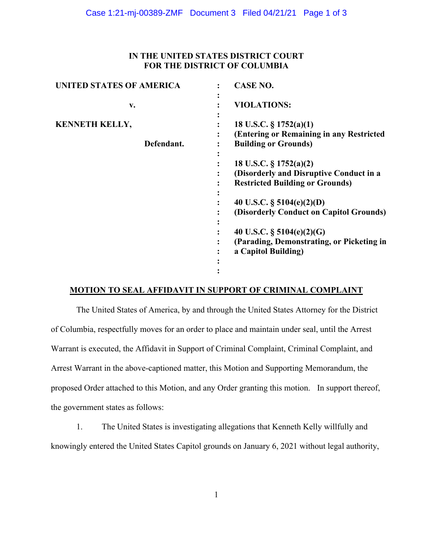# **IN THE UNITED STATES DISTRICT COURT FOR THE DISTRICT OF COLUMBIA**

| <b>CASE NO.</b>                                                                                                |
|----------------------------------------------------------------------------------------------------------------|
| <b>VIOLATIONS:</b>                                                                                             |
| 18 U.S.C. $\S 1752(a)(1)$<br>(Entering or Remaining in any Restricted<br><b>Building or Grounds)</b>           |
| 18 U.S.C. $\S 1752(a)(2)$<br>(Disorderly and Disruptive Conduct in a<br><b>Restricted Building or Grounds)</b> |
| 40 U.S.C. $\S$ 5104(e)(2)(D)<br>(Disorderly Conduct on Capitol Grounds)                                        |
| 40 U.S.C. § $5104(e)(2)(G)$<br>(Parading, Demonstrating, or Picketing in<br>a Capitol Building)                |
|                                                                                                                |

## **MOTION TO SEAL AFFIDAVIT IN SUPPORT OF CRIMINAL COMPLAINT**

The United States of America, by and through the United States Attorney for the District of Columbia, respectfully moves for an order to place and maintain under seal, until the Arrest Warrant is executed, the Affidavit in Support of Criminal Complaint, Criminal Complaint, and Arrest Warrant in the above-captioned matter, this Motion and Supporting Memorandum, the proposed Order attached to this Motion, and any Order granting this motion. In support thereof, the government states as follows:

1. The United States is investigating allegations that Kenneth Kelly willfully and knowingly entered the United States Capitol grounds on January 6, 2021 without legal authority,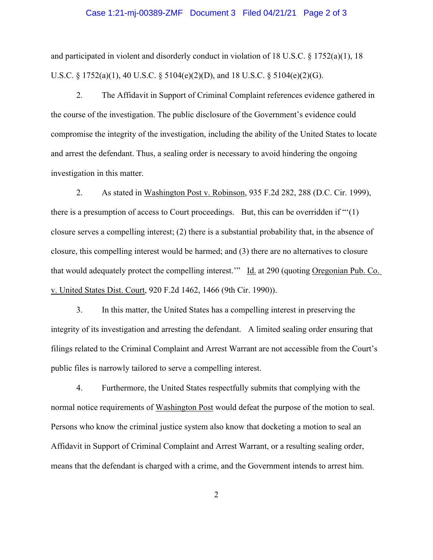#### Case 1:21-mj-00389-ZMF Document 3 Filed 04/21/21 Page 2 of 3

and participated in violent and disorderly conduct in violation of 18 U.S.C. § 1752(a)(1), 18 U.S.C. § 1752(a)(1), 40 U.S.C. § 5104(e)(2)(D), and 18 U.S.C. § 5104(e)(2)(G).

2. The Affidavit in Support of Criminal Complaint references evidence gathered in the course of the investigation. The public disclosure of the Government's evidence could compromise the integrity of the investigation, including the ability of the United States to locate and arrest the defendant. Thus, a sealing order is necessary to avoid hindering the ongoing investigation in this matter.

 2. As stated in Washington Post v. Robinson, 935 F.2d 282, 288 (D.C. Cir. 1999), there is a presumption of access to Court proceedings. But, this can be overridden if "'(1) closure serves a compelling interest; (2) there is a substantial probability that, in the absence of closure, this compelling interest would be harmed; and (3) there are no alternatives to closure that would adequately protect the compelling interest." Id. at 290 (quoting Oregonian Pub. Co. v. United States Dist. Court, 920 F.2d 1462, 1466 (9th Cir. 1990)).

 3. In this matter, the United States has a compelling interest in preserving the integrity of its investigation and arresting the defendant. A limited sealing order ensuring that filings related to the Criminal Complaint and Arrest Warrant are not accessible from the Court's public files is narrowly tailored to serve a compelling interest.

 4. Furthermore, the United States respectfully submits that complying with the normal notice requirements of Washington Post would defeat the purpose of the motion to seal. Persons who know the criminal justice system also know that docketing a motion to seal an Affidavit in Support of Criminal Complaint and Arrest Warrant, or a resulting sealing order, means that the defendant is charged with a crime, and the Government intends to arrest him.

2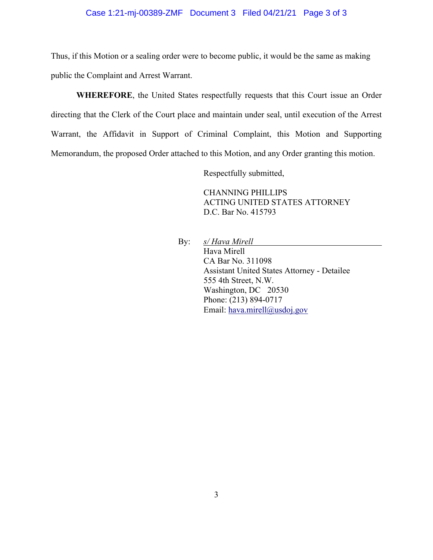### Case 1:21-mj-00389-ZMF Document 3 Filed 04/21/21 Page 3 of 3

Thus, if this Motion or a sealing order were to become public, it would be the same as making public the Complaint and Arrest Warrant.

**WHEREFORE**, the United States respectfully requests that this Court issue an Order directing that the Clerk of the Court place and maintain under seal, until execution of the Arrest Warrant, the Affidavit in Support of Criminal Complaint, this Motion and Supporting Memorandum, the proposed Order attached to this Motion, and any Order granting this motion.

Respectfully submitted,

CHANNING PHILLIPS ACTING UNITED STATES ATTORNEY D.C. Bar No. 415793

By: *s/ Hava Mirell s*  Hava Mirell CA Bar No. 311098 Assistant United States Attorney - Detailee 555 4th Street, N.W. Washington, DC 20530 Phone: (213) 894-0717 Email: hava.mirell@usdoj.gov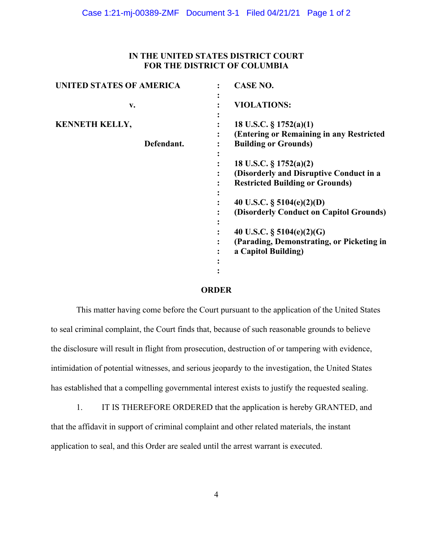# **IN THE UNITED STATES DISTRICT COURT FOR THE DISTRICT OF COLUMBIA**

| <b>UNITED STATES OF AMERICA</b>     | <b>CASE NO.</b>                                                                                             |
|-------------------------------------|-------------------------------------------------------------------------------------------------------------|
| $V_{\bullet}$                       | <b>VIOLATIONS:</b>                                                                                          |
| <b>KENNETH KELLY,</b><br>Defendant. | 18 U.S.C. § 1752(a)(1)<br>(Entering or Remaining in any Restricted<br><b>Building or Grounds)</b>           |
|                                     | 18 U.S.C. § 1752(a)(2)<br>(Disorderly and Disruptive Conduct in a<br><b>Restricted Building or Grounds)</b> |
|                                     | 40 U.S.C. $\S$ 5104(e)(2)(D)<br>(Disorderly Conduct on Capitol Grounds)                                     |
|                                     | 40 U.S.C. $\S$ 5104(e)(2)(G)<br>(Parading, Demonstrating, or Picketing in<br>a Capitol Building)            |

### **ORDER**

This matter having come before the Court pursuant to the application of the United States to seal criminal complaint, the Court finds that, because of such reasonable grounds to believe the disclosure will result in flight from prosecution, destruction of or tampering with evidence, intimidation of potential witnesses, and serious jeopardy to the investigation, the United States has established that a compelling governmental interest exists to justify the requested sealing.

1. IT IS THEREFORE ORDERED that the application is hereby GRANTED, and that the affidavit in support of criminal complaint and other related materials, the instant application to seal, and this Order are sealed until the arrest warrant is executed.